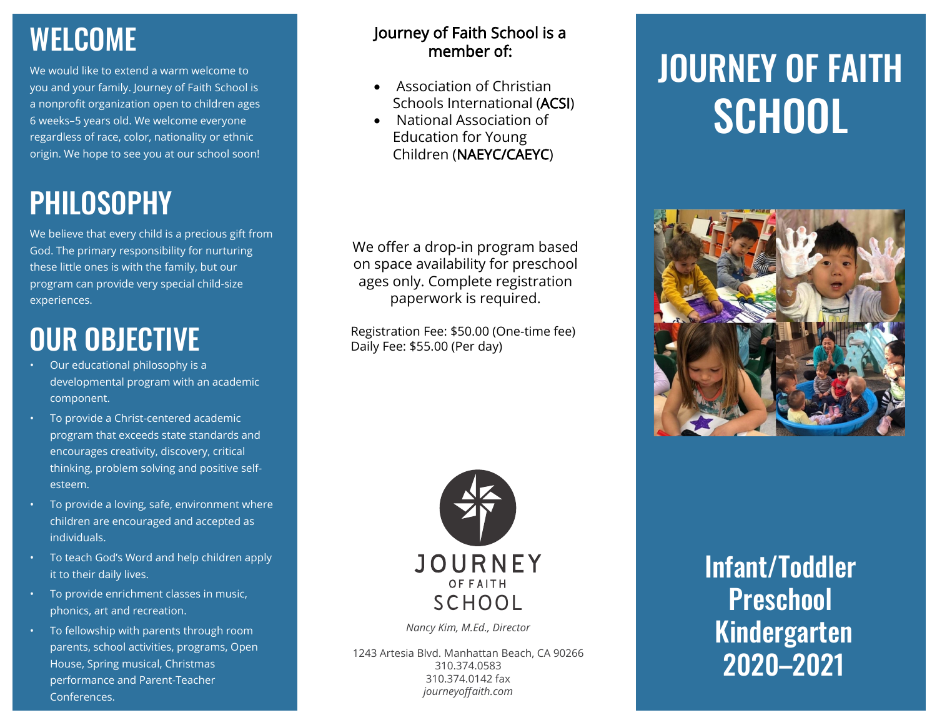### WELCOME

We would like to extend a warm welcome to you and your family. Journey of Faith School is a nonprofit organization open to children ages 6 weeks–5 years old. We welcome everyone regardless of race, color, nationality or ethnic origin. We hope to see you at our school soon!

## PHILOSOPHY

We believe that every child is a precious gift from God. The primary responsibility for nurturing these little ones is with the family, but our program can provide very special child-size experiences.

## OUR OBJECTIVE

- Our educational philosophy is a developmental program with an academic component.
- To provide a Christ-centered academic program that exceeds state standards and encourages creativity, discovery, critical thinking, problem solving and positive selfesteem.
- To provide a loving, safe, environment where children are encouraged and accepted as individuals.
- To teach God's Word and help children apply it to their daily lives.
- To provide enrichment classes in music, phonics, art and recreation.
- To fellowship with parents through room parents, school activities, programs, Open House, Spring musical, Christmas performance and Parent-Teacher Conferences.

#### Journey of Faith School is a member of:

- Association of Christian Schools International (ACSI)
- National Association of Education for Young Children (NAEYC/CAEYC)

We offer a drop-in program based on space availability for preschool ages only. Complete registration paperwork is required.

Registration Fee: \$50.00 (One-time fee) Daily Fee: \$55.00 (Per day)



*Nancy Kim, M.Ed., Director*

1243 Artesia Blvd. Manhattan Beach, CA 90266 310.374.0583 310.374.0142 fax *journeyoffaith.com*

# JOURNEY OF FAITH **SCHOOL**



Infant/Toddler **Preschool** Kindergarten 2020–2021